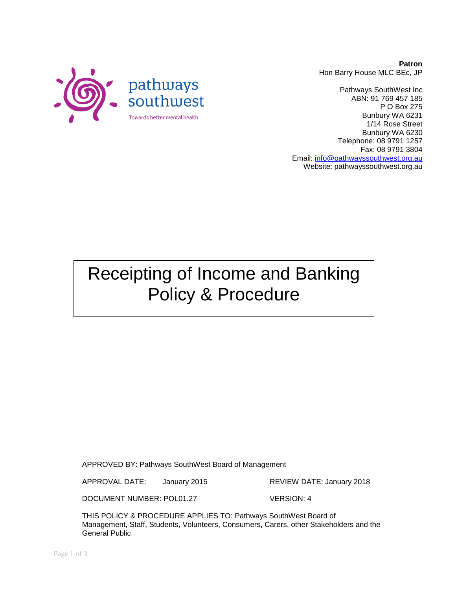**Patron** Hon Barry House MLC BEc, JP

Pathways SouthWest Inc ABN: 91 769 457 185 P O Box 275 Bunbury WA 6231 1/14 Rose Street Bunbury WA 6230 Telephone: 08 9791 1257 Fax: 08 9791 3804 Email: [info@pathwayssouthwest.org.au](mailto:info@pathwayssouthwest.org.au) Website: pathwayssouthwest.org.au

Receipting of Income and Banking Policy & Procedure

APPROVED BY: Pathways SouthWest Board of Management

APPROVAL DATE: January 2015 REVIEW DATE: January 2018

DOCUMENT NUMBER: POL01.27 VERSION: 4

THIS POLICY & PROCEDURE APPLIES TO: Pathways SouthWest Board of Management, Staff, Students, Volunteers, Consumers, Carers, other Stakeholders and the General Public

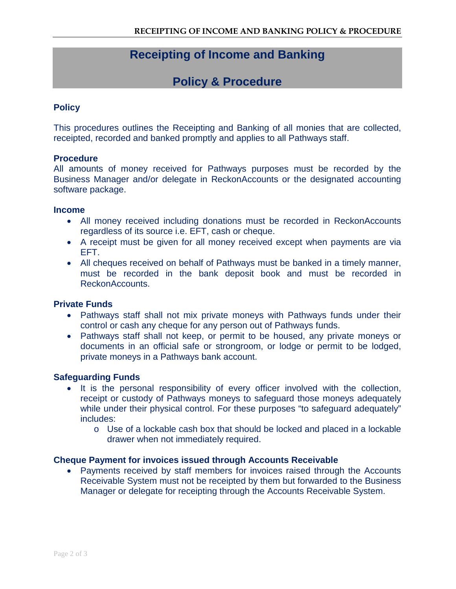# **Receipting of Income and Banking**

## **Policy & Procedure**

### **Policy**

This procedures outlines the Receipting and Banking of all monies that are collected, receipted, recorded and banked promptly and applies to all Pathways staff.

#### **Procedure**

All amounts of money received for Pathways purposes must be recorded by the Business Manager and/or delegate in ReckonAccounts or the designated accounting software package.

#### **Income**

- All money received including donations must be recorded in ReckonAccounts regardless of its source i.e. EFT, cash or cheque.
- A receipt must be given for all money received except when payments are via EFT.
- All cheques received on behalf of Pathways must be banked in a timely manner, must be recorded in the bank deposit book and must be recorded in ReckonAccounts.

#### **Private Funds**

- Pathways staff shall not mix private moneys with Pathways funds under their control or cash any cheque for any person out of Pathways funds.
- Pathways staff shall not keep, or permit to be housed, any private moneys or documents in an official safe or strongroom, or lodge or permit to be lodged, private moneys in a Pathways bank account.

#### **Safeguarding Funds**

- It is the personal responsibility of every officer involved with the collection, receipt or custody of Pathways moneys to safeguard those moneys adequately while under their physical control. For these purposes "to safeguard adequately" includes:
	- o Use of a lockable cash box that should be locked and placed in a lockable drawer when not immediately required.

#### **Cheque Payment for invoices issued through Accounts Receivable**

• Payments received by staff members for invoices raised through the Accounts Receivable System must not be receipted by them but forwarded to the Business Manager or delegate for receipting through the Accounts Receivable System.